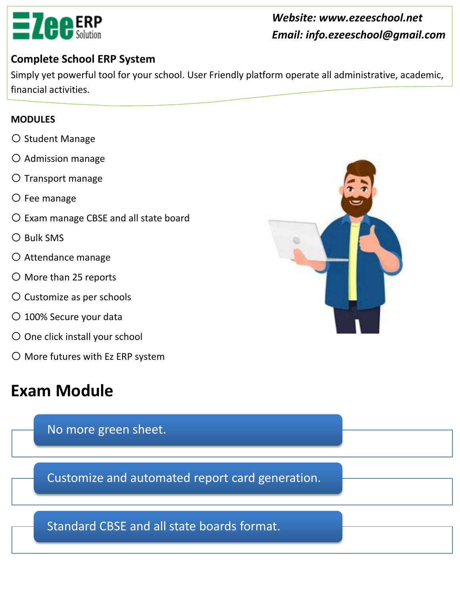

#### *Website: www.ezeeschool.net Email: info.ezeeschool@gmail.com*

#### **Complete School ERP System**

Simply yet powerful tool for your school. User Friendly platform operate all administrative, academic, financial activities.

#### **MODULES**

- o Student Manage
- o Admission manage
- o Transport manage
- o Fee manage
- o Exam manage CBSE and all state board
- o Bulk SMS
- o Attendance manage
- o More than 25 reports
- o Customize as per schools
- O 100% Secure your data
- O One click install your school
- o More futures with Ez ERP system

## **Exam Module**

No more green sheet.

Customize and automated report card generation.

Standard CBSE and all state boards format.

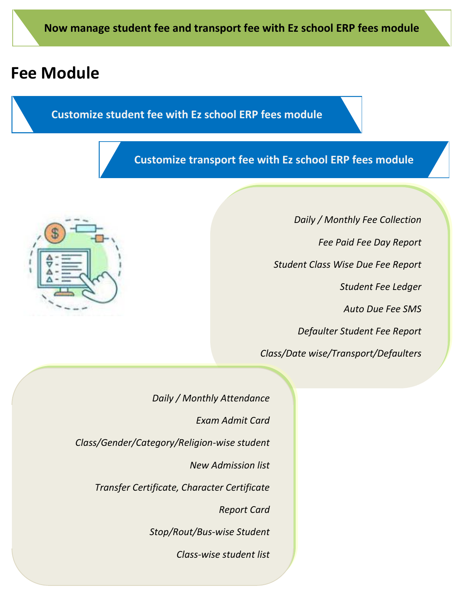### **Fee Module**

#### **Customize student fee with Ez school ERP fees module**

#### **Customize transport fee with Ez school ERP fees module**



*Daily / Monthly Fee Collection Fee Paid Fee Day Report Student Class Wise Due Fee Report Student Fee Ledger Auto Due Fee SMS Defaulter Student Fee Report Class/Date wise/Transport/Defaulters*

*Daily / Monthly Attendance*

*Exam Admit Card*

*Class/Gender/Category/Religion-wise student*

*New Admission list*

*Transfer Certificate, Character Certificate*

*Report Card*

*Stop/Rout/Bus-wise Student*

*Class-wise student list*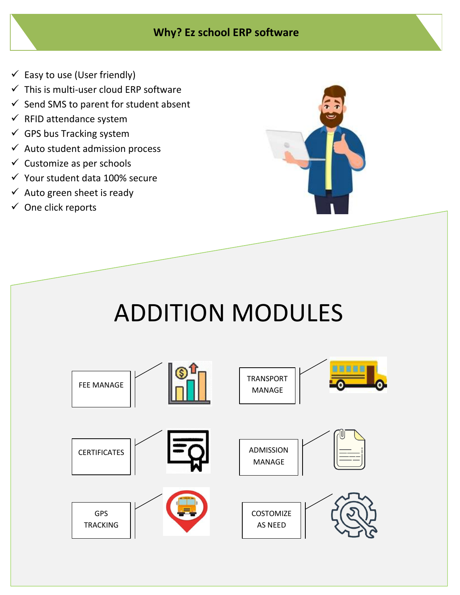#### **Why? Ez school ERP software**

- $\checkmark$  Easy to use (User friendly)
- $\checkmark$  This is multi-user cloud ERP software
- $\checkmark$  Send SMS to parent for student absent
- $\checkmark$  RFID attendance system
- $\checkmark$  GPS bus Tracking system
- $\checkmark$  Auto student admission process
- $\checkmark$  Customize as per schools
- $\checkmark$  Your student data 100% secure
- $\checkmark$  Auto green sheet is ready
- $\checkmark$  One click reports



# ADDITION MODULES